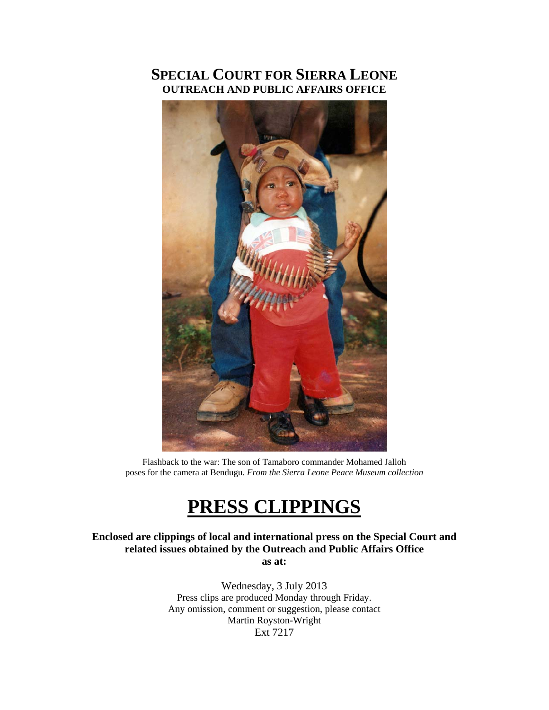### **SPECIAL COURT FOR SIERRA LEONE OUTREACH AND PUBLIC AFFAIRS OFFICE**



Flashback to the war: The son of Tamaboro commander Mohamed Jalloh poses for the camera at Bendugu. *From the Sierra Leone Peace Museum collection*

# **PRESS CLIPPINGS**

**Enclosed are clippings of local and international press on the Special Court and related issues obtained by the Outreach and Public Affairs Office as at:** 

> Wednesday, 3 July 2013 Press clips are produced Monday through Friday. Any omission, comment or suggestion, please contact Martin Royston-Wright Ext 7217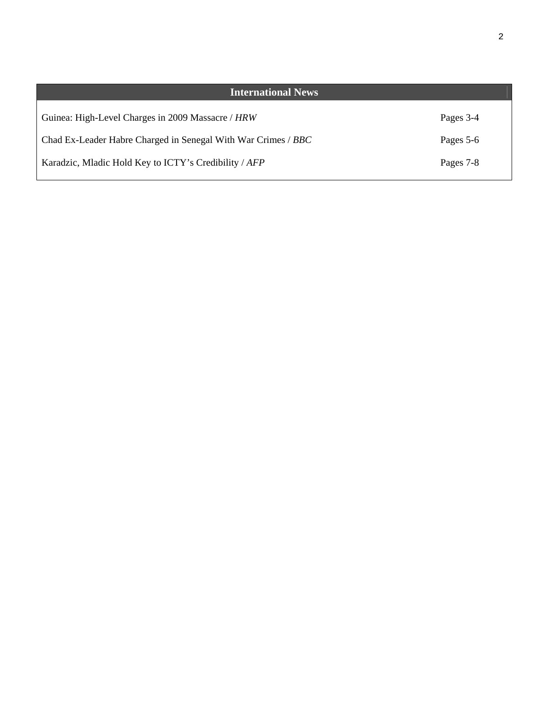| <b>International News</b>                                     |           |
|---------------------------------------------------------------|-----------|
| Guinea: High-Level Charges in 2009 Massacre / HRW             | Pages 3-4 |
| Chad Ex-Leader Habre Charged in Senegal With War Crimes / BBC | Pages 5-6 |
| Karadzic, Mladic Hold Key to ICTY's Credibility / AFP         | Pages 7-8 |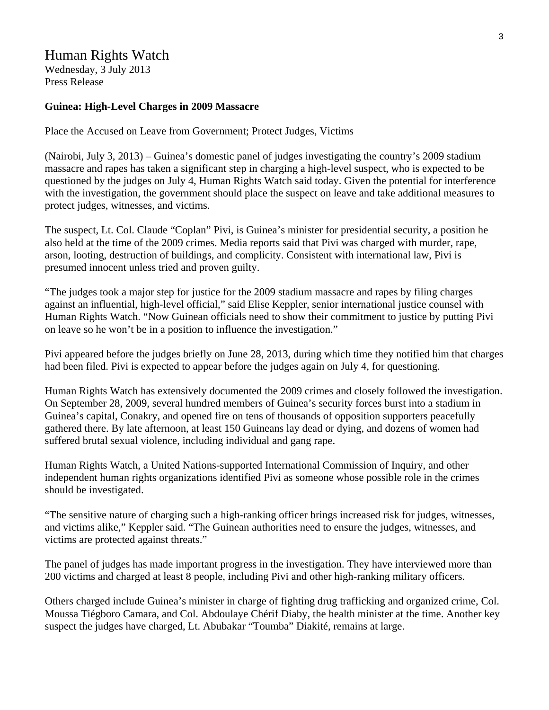#### Human Rights Watch

Wednesday, 3 July 2013 Press Release

#### **Guinea: High-Level Charges in 2009 Massacre**

Place the Accused on Leave from Government; Protect Judges, Victims

(Nairobi, July 3, 2013) – Guinea's domestic panel of judges investigating the country's 2009 stadium massacre and rapes has taken a significant step in charging a high-level suspect, who is expected to be questioned by the judges on July 4, Human Rights Watch said today. Given the potential for interference with the investigation, the government should place the suspect on leave and take additional measures to protect judges, witnesses, and victims.

The suspect, Lt. Col. Claude "Coplan" Pivi, is Guinea's minister for presidential security, a position he also held at the time of the 2009 crimes. Media reports said that Pivi was charged with murder, rape, arson, looting, destruction of buildings, and complicity. Consistent with international law, Pivi is presumed innocent unless tried and proven guilty.

"The judges took a major step for justice for the 2009 stadium massacre and rapes by filing charges against an influential, high-level official," said Elise Keppler, senior international justice counsel with Human Rights Watch. "Now Guinean officials need to show their commitment to justice by putting Pivi on leave so he won't be in a position to influence the investigation."

Pivi appeared before the judges briefly on June 28, 2013, during which time they notified him that charges had been filed. Pivi is expected to appear before the judges again on July 4, for questioning.

Human Rights Watch has extensively documented the 2009 crimes and closely followed the investigation. On September 28, 2009, several hundred members of Guinea's security forces burst into a stadium in Guinea's capital, Conakry, and opened fire on tens of thousands of opposition supporters peacefully gathered there. By late afternoon, at least 150 Guineans lay dead or dying, and dozens of women had suffered brutal sexual violence, including individual and gang rape.

Human Rights Watch, a United Nations-supported International Commission of Inquiry, and other independent human rights organizations identified Pivi as someone whose possible role in the crimes should be investigated.

"The sensitive nature of charging such a high-ranking officer brings increased risk for judges, witnesses, and victims alike," Keppler said. "The Guinean authorities need to ensure the judges, witnesses, and victims are protected against threats."

The panel of judges has made important progress in the investigation. They have interviewed more than 200 victims and charged at least 8 people, including Pivi and other high-ranking military officers.

Others charged include Guinea's minister in charge of fighting drug trafficking and organized crime, Col. Moussa Tiégboro Camara, and Col. Abdoulaye Chérif Diaby, the health minister at the time. Another key suspect the judges have charged, Lt. Abubakar "Toumba" Diakité, remains at large.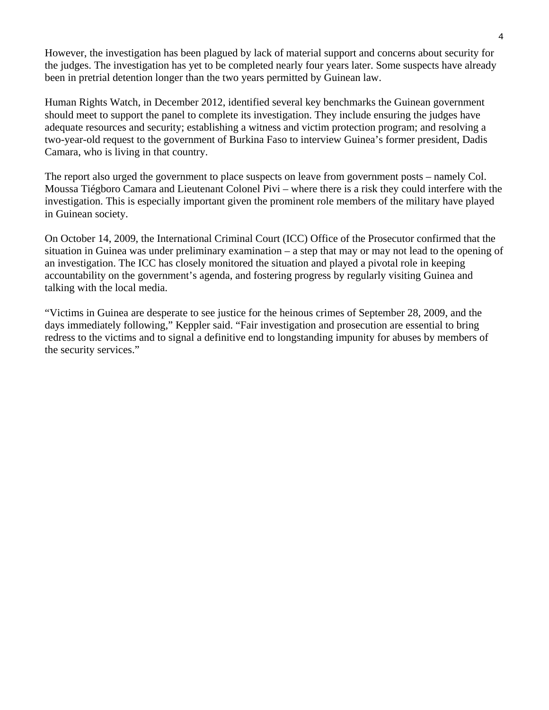However, the investigation has been plagued by lack of material support and concerns about security for the judges. The investigation has yet to be completed nearly four years later. Some suspects have already been in pretrial detention longer than the two years permitted by Guinean law.

Human Rights Watch, in December 2012, identified several key benchmarks the Guinean government should meet to support the panel to complete its investigation. They include ensuring the judges have adequate resources and security; establishing a witness and victim protection program; and resolving a two-year-old request to the government of Burkina Faso to interview Guinea's former president, Dadis Camara, who is living in that country.

The report also urged the government to place suspects on leave from government posts – namely Col. Moussa Tiégboro Camara and Lieutenant Colonel Pivi – where there is a risk they could interfere with the investigation. This is especially important given the prominent role members of the military have played in Guinean society.

On October 14, 2009, the International Criminal Court (ICC) Office of the Prosecutor confirmed that the situation in Guinea was under preliminary examination – a step that may or may not lead to the opening of an investigation. The ICC has closely monitored the situation and played a pivotal role in keeping accountability on the government's agenda, and fostering progress by regularly visiting Guinea and talking with the local media.

"Victims in Guinea are desperate to see justice for the heinous crimes of September 28, 2009, and the days immediately following," Keppler said. "Fair investigation and prosecution are essential to bring redress to the victims and to signal a definitive end to longstanding impunity for abuses by members of the security services."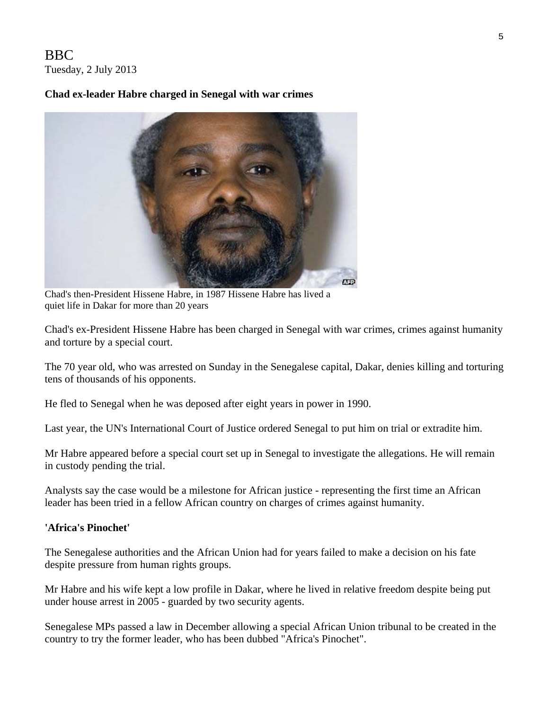#### BBC Tuesday, 2 July 2013

#### **Chad ex-leader Habre charged in Senegal with war crimes**



Chad's then-President Hissene Habre, in 1987 Hissene Habre has lived a quiet life in Dakar for more than 20 years

Chad's ex-President Hissene Habre has been charged in Senegal with war crimes, crimes against humanity and torture by a special court.

The 70 year old, who was arrested on Sunday in the Senegalese capital, Dakar, denies killing and torturing tens of thousands of his opponents.

He fled to Senegal when he was deposed after eight years in power in 1990.

Last year, the UN's International Court of Justice ordered Senegal to put him on trial or extradite him.

Mr Habre appeared before a special court set up in Senegal to investigate the allegations. He will remain in custody pending the trial.

Analysts say the case would be a milestone for African justice - representing the first time an African leader has been tried in a fellow African country on charges of crimes against humanity.

#### **'Africa's Pinochet'**

The Senegalese authorities and the African Union had for years failed to make a decision on his fate despite pressure from human rights groups.

Mr Habre and his wife kept a low profile in Dakar, where he lived in relative freedom despite being put under house arrest in 2005 - guarded by two security agents.

Senegalese MPs passed a law in December allowing a special African Union tribunal to be created in the country to try the former leader, who has been dubbed "Africa's Pinochet".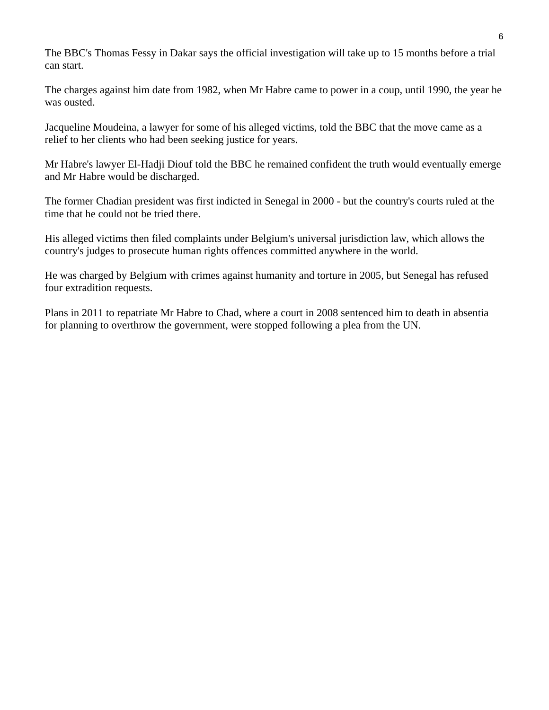The BBC's Thomas Fessy in Dakar says the official investigation will take up to 15 months before a trial can start.

The charges against him date from 1982, when Mr Habre came to power in a coup, until 1990, the year he was ousted.

Jacqueline Moudeina, a lawyer for some of his alleged victims, told the BBC that the move came as a relief to her clients who had been seeking justice for years.

Mr Habre's lawyer El-Hadji Diouf told the BBC he remained confident the truth would eventually emerge and Mr Habre would be discharged.

The former Chadian president was first indicted in Senegal in 2000 - but the country's courts ruled at the time that he could not be tried there.

His alleged victims then filed complaints under Belgium's universal jurisdiction law, which allows the country's judges to prosecute human rights offences committed anywhere in the world.

He was charged by Belgium with crimes against humanity and torture in 2005, but Senegal has refused four extradition requests.

Plans in 2011 to repatriate Mr Habre to Chad, where a court in 2008 sentenced him to death in absentia for planning to overthrow the government, were stopped following a plea from the UN.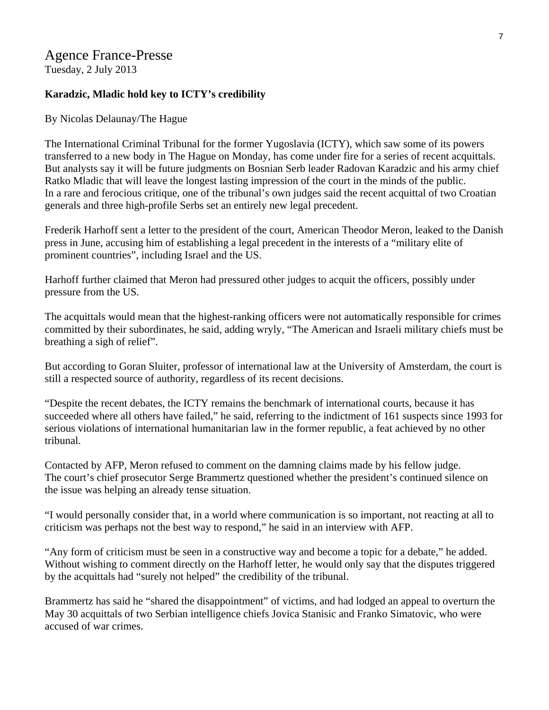## Agence France-Presse

Tuesday, 2 July 2013

#### **Karadzic, Mladic hold key to ICTY's credibility**

#### By Nicolas Delaunay/The Hague

The International Criminal Tribunal for the former Yugoslavia (ICTY), which saw some of its powers transferred to a new body in The Hague on Monday, has come under fire for a series of recent acquittals. But analysts say it will be future judgments on Bosnian Serb leader Radovan Karadzic and his army chief Ratko Mladic that will leave the longest lasting impression of the court in the minds of the public. In a rare and ferocious critique, one of the tribunal's own judges said the recent acquittal of two Croatian generals and three high-profile Serbs set an entirely new legal precedent.

Frederik Harhoff sent a letter to the president of the court, American Theodor Meron, leaked to the Danish press in June, accusing him of establishing a legal precedent in the interests of a "military elite of prominent countries", including Israel and the US.

Harhoff further claimed that Meron had pressured other judges to acquit the officers, possibly under pressure from the US.

The acquittals would mean that the highest-ranking officers were not automatically responsible for crimes committed by their subordinates, he said, adding wryly, "The American and Israeli military chiefs must be breathing a sigh of relief".

But according to Goran Sluiter, professor of international law at the University of Amsterdam, the court is still a respected source of authority, regardless of its recent decisions.

"Despite the recent debates, the ICTY remains the benchmark of international courts, because it has succeeded where all others have failed," he said, referring to the indictment of 161 suspects since 1993 for serious violations of international humanitarian law in the former republic, a feat achieved by no other tribunal.

Contacted by AFP, Meron refused to comment on the damning claims made by his fellow judge. The court's chief prosecutor Serge Brammertz questioned whether the president's continued silence on the issue was helping an already tense situation.

"I would personally consider that, in a world where communication is so important, not reacting at all to criticism was perhaps not the best way to respond," he said in an interview with AFP.

"Any form of criticism must be seen in a constructive way and become a topic for a debate," he added. Without wishing to comment directly on the Harhoff letter, he would only say that the disputes triggered by the acquittals had "surely not helped" the credibility of the tribunal.

Brammertz has said he "shared the disappointment" of victims, and had lodged an appeal to overturn the May 30 acquittals of two Serbian intelligence chiefs Jovica Stanisic and Franko Simatovic, who were accused of war crimes.